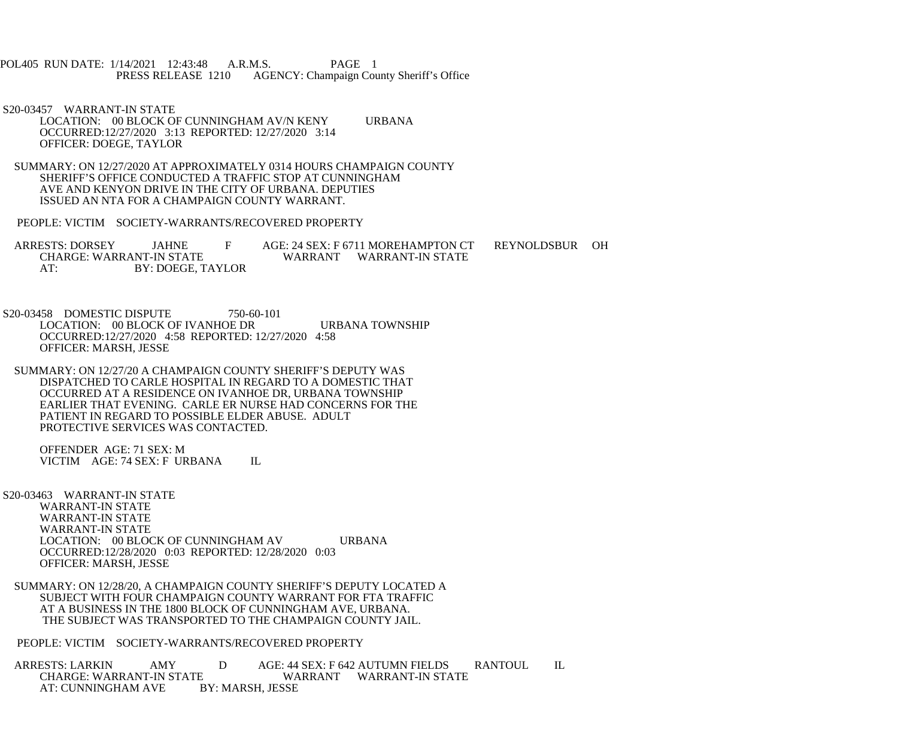POL405 RUN DATE: 1/14/2021 12:43:48 A.R.M.S. PAGE 1<br>PRESS RELEASE 1210 AGENCY: Champaign Cou AGENCY: Champaign County Sheriff's Office

 S20-03457 WARRANT-IN STATE LOCATION: 00 BLOCK OF CUNNINGHAM AV/N KENY URBANA OCCURRED:12/27/2020 3:13 REPORTED: 12/27/2020 3:14 OFFICER: DOEGE, TAYLOR

 SUMMARY: ON 12/27/2020 AT APPROXIMATELY 0314 HOURS CHAMPAIGN COUNTY SHERIFF'S OFFICE CONDUCTED A TRAFFIC STOP AT CUNNINGHAM AVE AND KENYON DRIVE IN THE CITY OF URBANA. DEPUTIES ISSUED AN NTA FOR A CHAMPAIGN COUNTY WARRANT.

PEOPLE: VICTIM SOCIETY-WARRANTS/RECOVERED PROPERTY

ARRESTS: DORSEY JAHNE F AGE: 24 SEX: F 6711 MOREHAMPTON CT REYNOLDSBUR OH CHARGE: WARRANT WARRANT WARRANT-IN STATE WARRANT WARRANT-IN STATE AT: BY: DOEGE, TAYLOR

S20-03458 DOMESTIC DISPUTE 750-60-101 LOCATION: 00 BLOCK OF IVANHOE DR URBANA TOWNSHIP OCCURRED:12/27/2020 4:58 REPORTED: 12/27/2020 4:58 OFFICER: MARSH, JESSE

 SUMMARY: ON 12/27/20 A CHAMPAIGN COUNTY SHERIFF'S DEPUTY WAS DISPATCHED TO CARLE HOSPITAL IN REGARD TO A DOMESTIC THAT OCCURRED AT A RESIDENCE ON IVANHOE DR, URBANA TOWNSHIP EARLIER THAT EVENING. CARLE ER NURSE HAD CONCERNS FOR THE PATIENT IN REGARD TO POSSIBLE ELDER ABUSE. ADULT PROTECTIVE SERVICES WAS CONTACTED.

 OFFENDER AGE: 71 SEX: M VICTIM AGE: 74 SEX: F URBANA IL

S20-03463 WARRANT-IN STATE

 WARRANT-IN STATE WARRANT-IN STATE WARRANT-IN STATE LOCATION: 00 BLOCK OF CUNNINGHAM AV URBANA OCCURRED:12/28/2020 0:03 REPORTED: 12/28/2020 0:03 OFFICER: MARSH, JESSE

 SUMMARY: ON 12/28/20, A CHAMPAIGN COUNTY SHERIFF'S DEPUTY LOCATED A SUBJECT WITH FOUR CHAMPAIGN COUNTY WARRANT FOR FTA TRAFFIC AT A BUSINESS IN THE 1800 BLOCK OF CUNNINGHAM AVE, URBANA. THE SUBJECT WAS TRANSPORTED TO THE CHAMPAIGN COUNTY JAIL.

PEOPLE: VICTIM SOCIETY-WARRANTS/RECOVERED PROPERTY

ARRESTS: LARKIN AMY D AGE: 44 SEX: F 642 AUTUMN FIELDS RANTOUL IL<br>CHARGE: WARRANT-IN STATE WARRANT WARRANT-IN STATE CHARGE: WARRANT-IN STATE WARRANT WARRANT WARRY: CUNNINGHAM AVE BY: MARSH, JESSE AT: CUNNINGHAM AVE